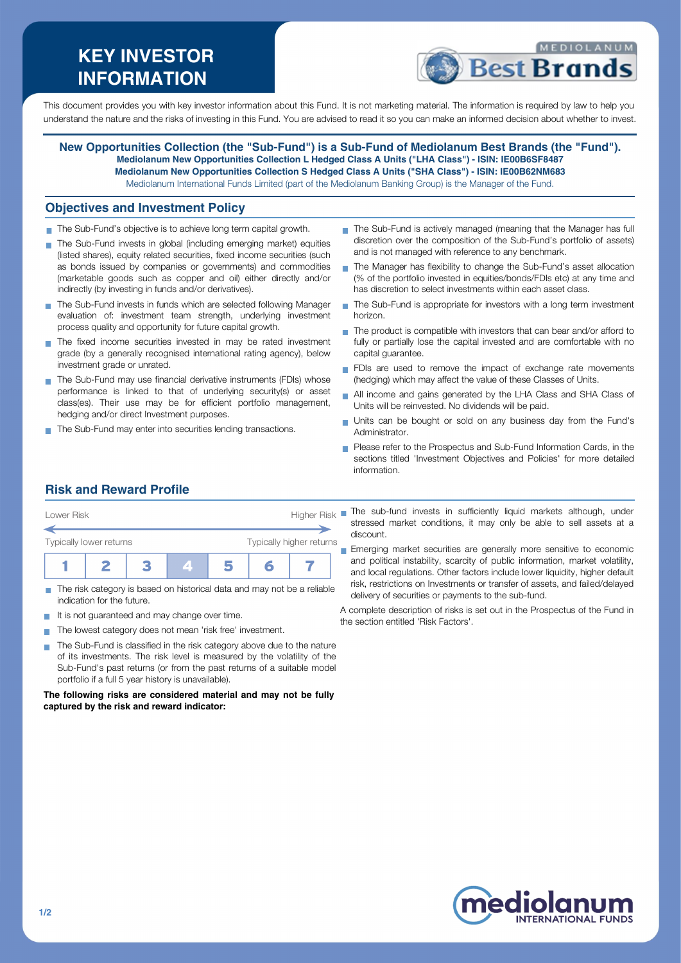# **KEY INVESTOR INFORMATION**



This document provides you with key investor information about this Fund. It is not marketing material. The information is required by law to help you understand the nature and the risks of investing in this Fund. You are advised to read it so you can make an informed decision about whether to invest.

**New Opportunities Collection (the "Sub-Fund") is a Sub-Fund of Mediolanum Best Brands (the "Fund"). Mediolanum New Opportunities Collection L Hedged Class A Units ("LHA Class") - ISIN: IE00B6SF8487 Mediolanum New Opportunities Collection S Hedged Class A Units ("SHA Class") - ISIN: IE00B62NM683** Mediolanum International Funds Limited (part of the Mediolanum Banking Group) is the Manager of the Fund.

### **Objectives and Investment Policy**

- The Sub-Fund's objective is to achieve long term capital growth.
- The Sub-Fund invests in global (including emerging market) equities (listed shares), equity related securities, fixed income securities (such as bonds issued by companies or governments) and commodities (marketable goods such as copper and oil) either directly and/or indirectly (by investing in funds and/or derivatives).
- The Sub-Fund invests in funds which are selected following Manager evaluation of: investment team strength, underlying investment process quality and opportunity for future capital growth.
- The fixed income securities invested in may be rated investment grade (by a generally recognised international rating agency), below investment grade or unrated.
- The Sub-Fund may use financial derivative instruments (FDIs) whose performance is linked to that of underlying security(s) or asset class(es). Their use may be for efficient portfolio management, hedging and/or direct Investment purposes.
- The Sub-Fund may enter into securities lending transactions.
- The Sub-Fund is actively managed (meaning that the Manager has full discretion over the composition of the Sub-Fund's portfolio of assets) and is not managed with reference to any benchmark.
- The Manager has flexibility to change the Sub-Fund's asset allocation (% of the portfolio invested in equities/bonds/FDIs etc) at any time and has discretion to select investments within each asset class.
- The Sub-Fund is appropriate for investors with a long term investment horizon.
- $\blacksquare$  The product is compatible with investors that can bear and/or afford to fully or partially lose the capital invested and are comfortable with no capital guarantee.
- FDIs are used to remove the impact of exchange rate movements (hedging) which may affect the value of these Classes of Units.
- All income and gains generated by the LHA Class and SHA Class of  $\blacksquare$ Units will be reinvested. No dividends will be paid.
- Units can be bought or sold on any business day from the Fund's Administrator.
- **Please refer to the Prospectus and Sub-Fund Information Cards, in the** sections titled 'Investment Objectives and Policies' for more detailed information.

# **Risk and Reward Profile**

| Lower Risk              |  |  |  |                          |  | Higher Risk |  |
|-------------------------|--|--|--|--------------------------|--|-------------|--|
| Typically lower returns |  |  |  | Typically higher returns |  |             |  |
|                         |  |  |  |                          |  |             |  |

- The risk category is based on historical data and may not be a reliable indication for the future.
- It is not guaranteed and may change over time.
- The lowest category does not mean 'risk free' investment.
- The Sub-Fund is classified in the risk category above due to the nature  $\mathcal{L}_{\mathcal{A}}$ of its investments. The risk level is measured by the volatility of the Sub-Fund's past returns (or from the past returns of a suitable model portfolio if a full 5 year history is unavailable).

#### **The following risks are considered material and may not be fully captured by the risk and reward indicator:**

The sub-fund invests in sufficiently liquid markets although, under stressed market conditions, it may only be able to sell assets at a discount.

**Emerging market securities are generally more sensitive to economic** and political instability, scarcity of public information, market volatility, and local regulations. Other factors include lower liquidity, higher default risk, restrictions on Investments or transfer of assets, and failed/delayed delivery of securities or payments to the sub-fund.

A complete description of risks is set out in the Prospectus of the Fund in the section entitled 'Risk Factors'.